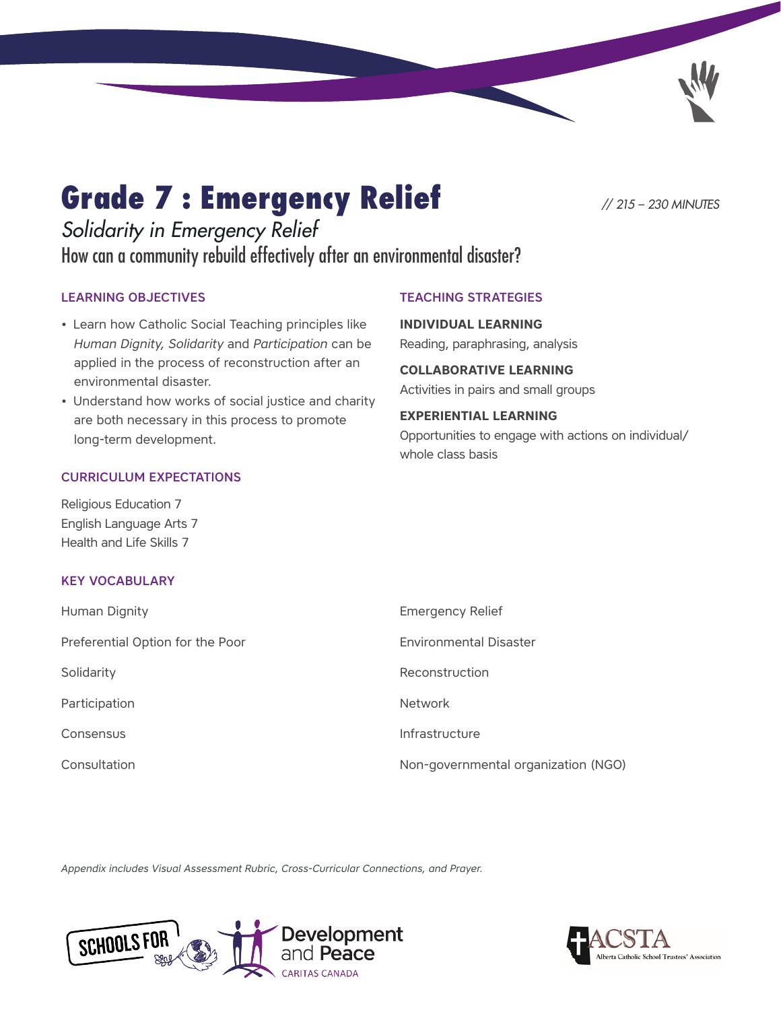# Grade 7 : Emergency Relief *// 215 – 230 MINUTES*

## *Solidarity in Emergency Relief* How can a community rebuild effectively after an environmental disaster?

TEACHING STRATEGIES

**INDIVIDUAL LEARNING**

Reading, paraphrasing, analysis

**COLLABORATIVE LEARNING**  Activities in pairs and small groups

**EXPERIENTIAL LEARNING**

whole class basis

Opportunities to engage with actions on individual/

### LEARNING OBJECTIVES

- Learn how Catholic Social Teaching principles like *Human Dignity, Solidarity* and *Participation* can be applied in the process of reconstruction after an environmental disaster.
- Understand how works of social justice and charity are both necessary in this process to promote long-term development.

### CURRICULUM EXPECTATIONS

Religious Education 7 English Language Arts 7 Health and Life Skills 7

### KEY VOCABULARY

| Human Dignity                    | <b>Emergency Relief</b>             |
|----------------------------------|-------------------------------------|
| Preferential Option for the Poor | <b>Environmental Disaster</b>       |
| Solidarity                       | Reconstruction                      |
| Participation                    | <b>Network</b>                      |
| <b>Consensus</b>                 | Infrastructure                      |
| Consultation                     | Non-governmental organization (NGO) |

*Appendix includes Visual Assessment Rubric, Cross-Curricular Connections, and Prayer.*



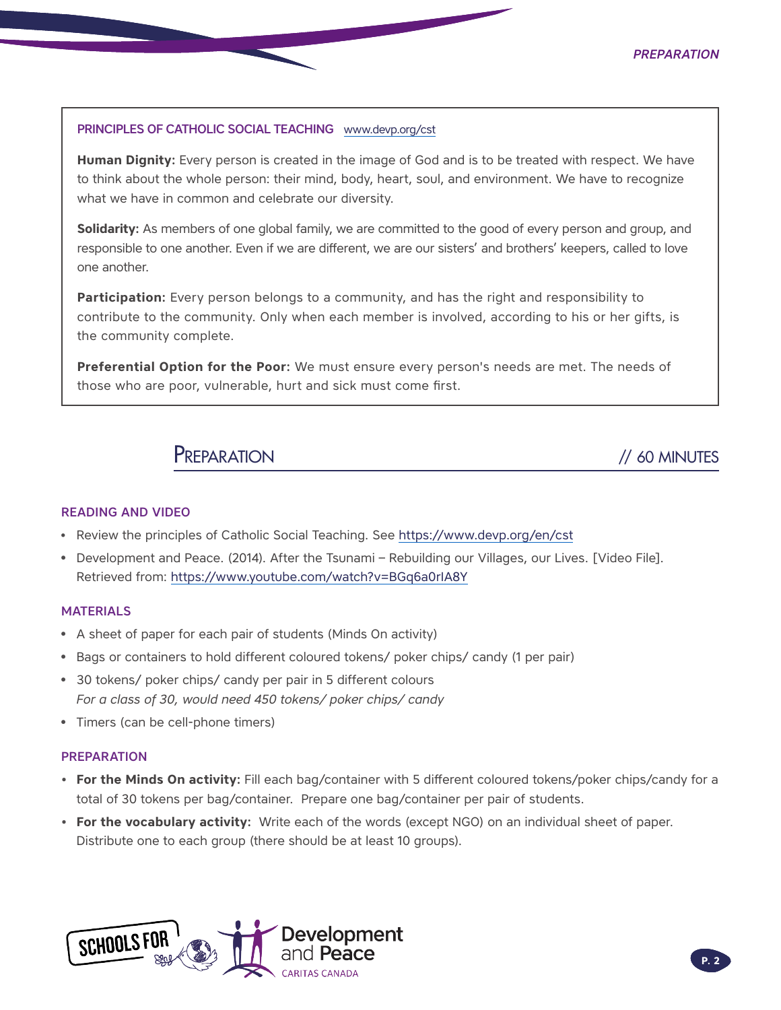### PRINCIPLES OF CATHOLIC SOCIAL TEACHING [www.devp.org/cst](http://www.devp.org/cst)

**Human Dignity:** Every person is created in the image of God and is to be treated with respect. We have to think about the whole person: their mind, body, heart, soul, and environment. We have to recognize what we have in common and celebrate our diversity.

**Solidarity:** As members of one global family, we are committed to the good of every person and group, and responsible to one another. Even if we are different, we are our sisters' and brothers' keepers, called to love one another.

**Participation:** Every person belongs to a community, and has the right and responsibility to contribute to the community. Only when each member is involved, according to his or her gifts, is the community complete.

**Preferential Option for the Poor:** We must ensure every person's needs are met. The needs of those who are poor, vulnerable, hurt and sick must come first.

PREPARATION // 60 MINUTES

### READING AND VIDEO

- Review the principles of Catholic Social Teaching. See https://www.devp.org/en/cst
- Development and Peace. (2014). After the Tsunami Rebuilding our Villages, our Lives. [Video File]. Retrieved from: https://www.youtube.com/watch?v=BGq6a0rIA8Y

### MATERIALS

- A sheet of paper for each pair of students (Minds On activity)
- Bags or containers to hold different coloured tokens/ poker chips/ candy (1 per pair)
- 30 tokens/ poker chips/ candy per pair in 5 different colours *For a class of 30, would need 450 tokens/ poker chips/ candy*
- Timers (can be cell-phone timers)

### PREPARATION

- **• For the Minds On activity:** Fill each bag/container with 5 different coloured tokens/poker chips/candy for a total of 30 tokens per bag/container. Prepare one bag/container per pair of students.
- **• For the vocabulary activity:** Write each of the words (except NGO) on an individual sheet of paper. Distribute one to each group (there should be at least 10 groups).

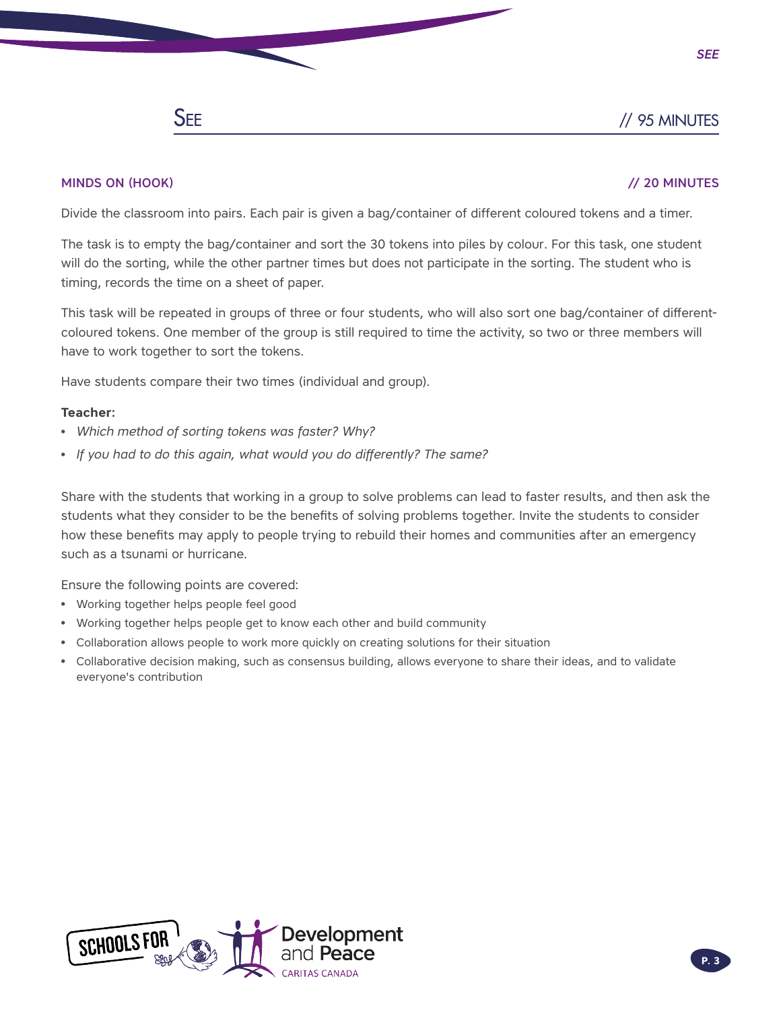### SEE // 95 MINUTES

*See*

### MINDS ON (HOOK) // 20 MINUTES

Divide the classroom into pairs. Each pair is given a bag/container of different coloured tokens and a timer.

The task is to empty the bag/container and sort the 30 tokens into piles by colour. For this task, one student will do the sorting, while the other partner times but does not participate in the sorting. The student who is timing, records the time on a sheet of paper.

This task will be repeated in groups of three or four students, who will also sort one bag/container of differentcoloured tokens. One member of the group is still required to time the activity, so two or three members will have to work together to sort the tokens.

Have students compare their two times (individual and group).

### **Teacher:**

- *Which method of sorting tokens was faster? Why?*
- *If you had to do this again, what would you do differently? The same?*

Share with the students that working in a group to solve problems can lead to faster results, and then ask the students what they consider to be the benefits of solving problems together. Invite the students to consider how these benefits may apply to people trying to rebuild their homes and communities after an emergency such as a tsunami or hurricane.

Ensure the following points are covered:

- Working together helps people feel good
- Working together helps people get to know each other and build community
- Collaboration allows people to work more quickly on creating solutions for their situation
- Collaborative decision making, such as consensus building, allows everyone to share their ideas, and to validate everyone's contribution

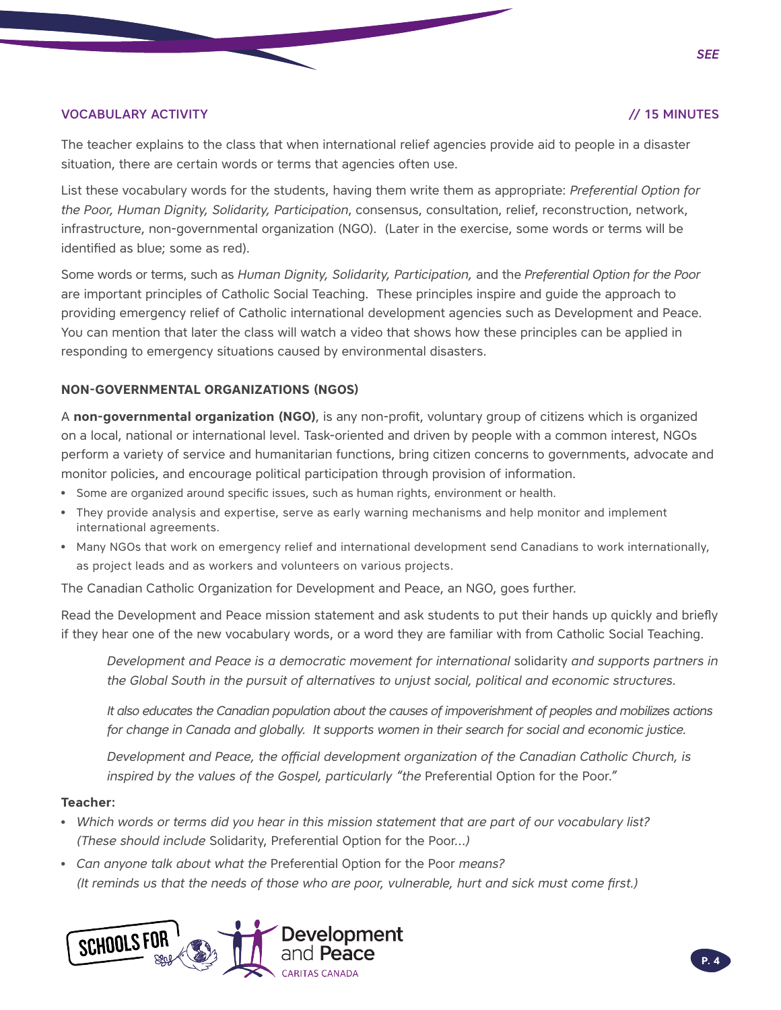### VOCABULARY ACTIVITY // 15 MINUTES

The teacher explains to the class that when international relief agencies provide aid to people in a disaster situation, there are certain words or terms that agencies often use.

List these vocabulary words for the students, having them write them as appropriate: *Preferential Option for the Poor, Human Dignity, Solidarity, Participation*, consensus, consultation, relief, reconstruction, network, infrastructure, non-governmental organization (NGO). (Later in the exercise, some words or terms will be identified as blue; some as red).

Some words or terms, such as *Human Dignity, Solidarity, Participation,* and the *Preferential Option for the Poor* are important principles of Catholic Social Teaching. These principles inspire and guide the approach to providing emergency relief of Catholic international development agencies such as Development and Peace. You can mention that later the class will watch a video that shows how these principles can be applied in responding to emergency situations caused by environmental disasters.

### **NON-GOVERNMENTAL ORGANIZATIONS (NGOS)**

A **non-governmental organization (NGO)**, is any non-profit, voluntary group of citizens which is organized on a local, national or international level. Task-oriented and driven by people with a common interest, NGOs perform a variety of service and humanitarian functions, bring citizen concerns to governments, advocate and monitor policies, and encourage political participation through provision of information.

- Some are organized around specific issues, such as human rights, environment or health.
- They provide analysis and expertise, serve as early warning mechanisms and help monitor and implement international agreements.
- Many NGOs that work on emergency relief and international development send Canadians to work internationally, as project leads and as workers and volunteers on various projects.

The Canadian Catholic Organization for Development and Peace, an NGO, goes further.

Read the Development and Peace mission statement and ask students to put their hands up quickly and briefly if they hear one of the new vocabulary words, or a word they are familiar with from Catholic Social Teaching.

*Development and Peace is a democratic movement for international* solidarity *and supports partners in the Global South in the pursuit of alternatives to unjust social, political and economic structures.* 

*It also educates the Canadian population about the causes of impoverishment of peoples and mobilizes actions for change in Canada and globally. It supports women in their search for social and economic justice.*

*Development and Peace, the official development organization of the Canadian Catholic Church, is*  inspired by the values of the Gospel, particularly "the Preferential Option for the Poor."

### **Teacher:**

- *Which words or terms did you hear in this mission statement that are part of our vocabulary list? (These should include* Solidarity, Preferential Option for the Poor*…)*
- *Can anyone talk about what the* Preferential Option for the Poor *means? (It reminds us that the needs of those who are poor, vulnerable, hurt and sick must come first.)*



*See*

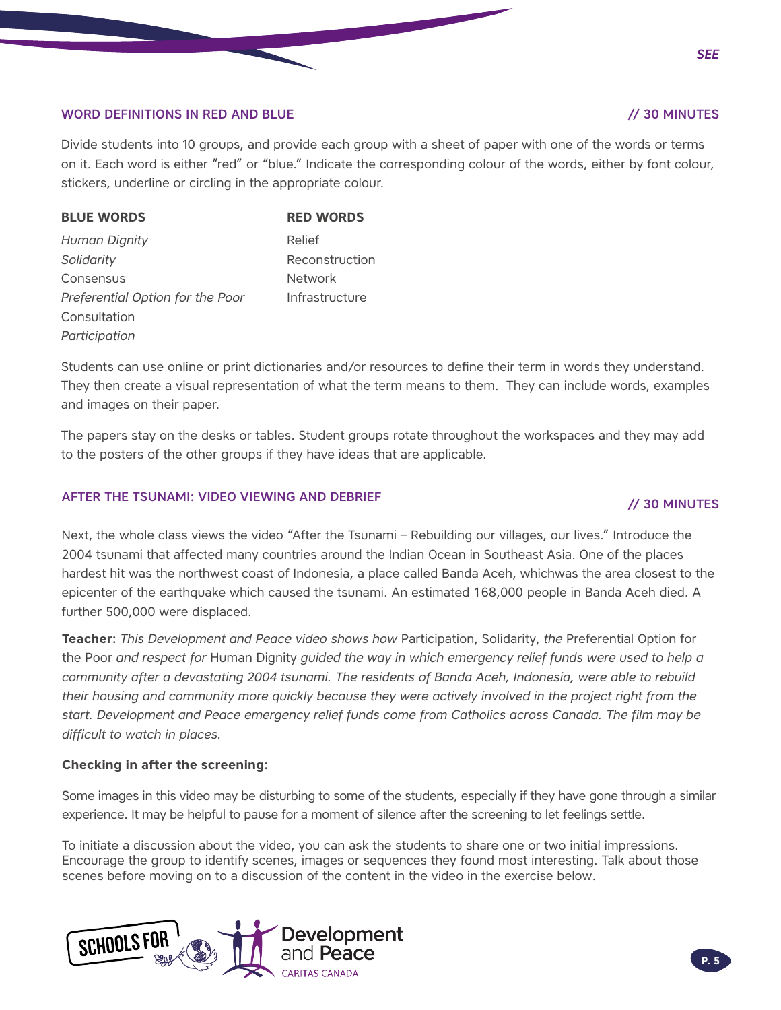### WORD DEFINITIONS IN RED AND BLUE // 30 MINUTES

Divide students into 10 groups, and provide each group with a sheet of paper with one of the words or terms on it. Each word is either "red" or "blue." Indicate the corresponding colour of the words, either by font colour, stickers, underline or circling in the appropriate colour.

| <b>BLUE WORDS</b>                | <b>RED WORDS</b> |  |  |
|----------------------------------|------------------|--|--|
| Human Dignity                    | Relief           |  |  |
| Solidarity                       | Reconstruction   |  |  |
| Consensus                        | <b>Network</b>   |  |  |
| Preferential Option for the Poor | Infrastructure   |  |  |
| Consultation                     |                  |  |  |
| Participation                    |                  |  |  |

Students can use online or print dictionaries and/or resources to define their term in words they understand. They then create a visual representation of what the term means to them. They can include words, examples and images on their paper.

The papers stay on the desks or tables. Student groups rotate throughout the workspaces and they may add to the posters of the other groups if they have ideas that are applicable.

### AFTER THE TSUNAMI: VIDEO VIEWING AND DEBRIEF **AFTER THE TSUNAMI:** VIDEO VIEWING AND DEBRIEF

Next, the whole class views the video "After the Tsunami – Rebuilding our villages, our lives." Introduce the 2004 tsunami that affected many countries around the Indian Ocean in Southeast Asia. One of the places hardest hit was the northwest coast of Indonesia, a place called Banda Aceh, whichwas the area closest to the epicenter of the earthquake which caused the tsunami. An estimated 168,000 people in Banda Aceh died. A further 500,000 were displaced.

**Teacher:** *This Development and Peace video shows how* Participation, Solidarity, *the* Preferential Option for the Poor *and respect for* Human Dignity *guided the way in which emergency relief funds were used to help a community after a devastating 2004 tsunami. The residents of Banda Aceh, Indonesia, were able to rebuild their housing and community more quickly because they were actively involved in the project right from the start. Development and Peace emergency relief funds come from Catholics across Canada. The film may be difficult to watch in places.*

### **Checking in after the screening:**

Some images in this video may be disturbing to some of the students, especially if they have gone through a similar experience. It may be helpful to pause for a moment of silence after the screening to let feelings settle.

To initiate a discussion about the video, you can ask the students to share one or two initial impressions. Encourage the group to identify scenes, images or sequences they found most interesting. Talk about those scenes before moving on to a discussion of the content in the video in the exercise below.

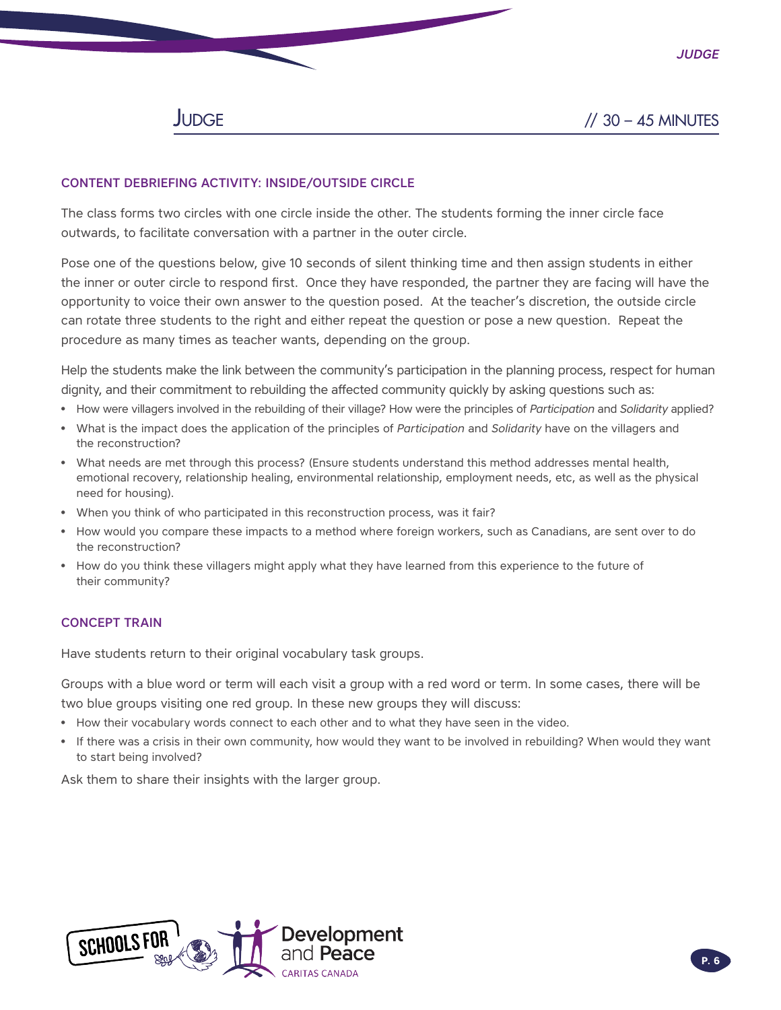*Judge*

### CONTENT DEBRIEFING ACTIVITY: INSIDE/OUTSIDE CIRCLE

The class forms two circles with one circle inside the other. The students forming the inner circle face outwards, to facilitate conversation with a partner in the outer circle.

Pose one of the questions below, give 10 seconds of silent thinking time and then assign students in either the inner or outer circle to respond first. Once they have responded, the partner they are facing will have the opportunity to voice their own answer to the question posed. At the teacher's discretion, the outside circle can rotate three students to the right and either repeat the question or pose a new question. Repeat the procedure as many times as teacher wants, depending on the group.

Help the students make the link between the community's participation in the planning process, respect for human dignity, and their commitment to rebuilding the affected community quickly by asking questions such as:

- How were villagers involved in the rebuilding of their village? How were the principles of *Participation* and *Solidarity* applied?
- What is the impact does the application of the principles of *Participation* and *Solidarity* have on the villagers and the reconstruction?
- What needs are met through this process? (Ensure students understand this method addresses mental health, emotional recovery, relationship healing, environmental relationship, employment needs, etc, as well as the physical need for housing).
- When you think of who participated in this reconstruction process, was it fair?
- How would you compare these impacts to a method where foreign workers, such as Canadians, are sent over to do the reconstruction?
- How do you think these villagers might apply what they have learned from this experience to the future of their community?

### CONCEPT TRAIN

Have students return to their original vocabulary task groups.

Groups with a blue word or term will each visit a group with a red word or term. In some cases, there will be two blue groups visiting one red group. In these new groups they will discuss:

- How their vocabulary words connect to each other and to what they have seen in the video.
- If there was a crisis in their own community, how would they want to be involved in rebuilding? When would they want to start being involved?

Ask them to share their insights with the larger group.

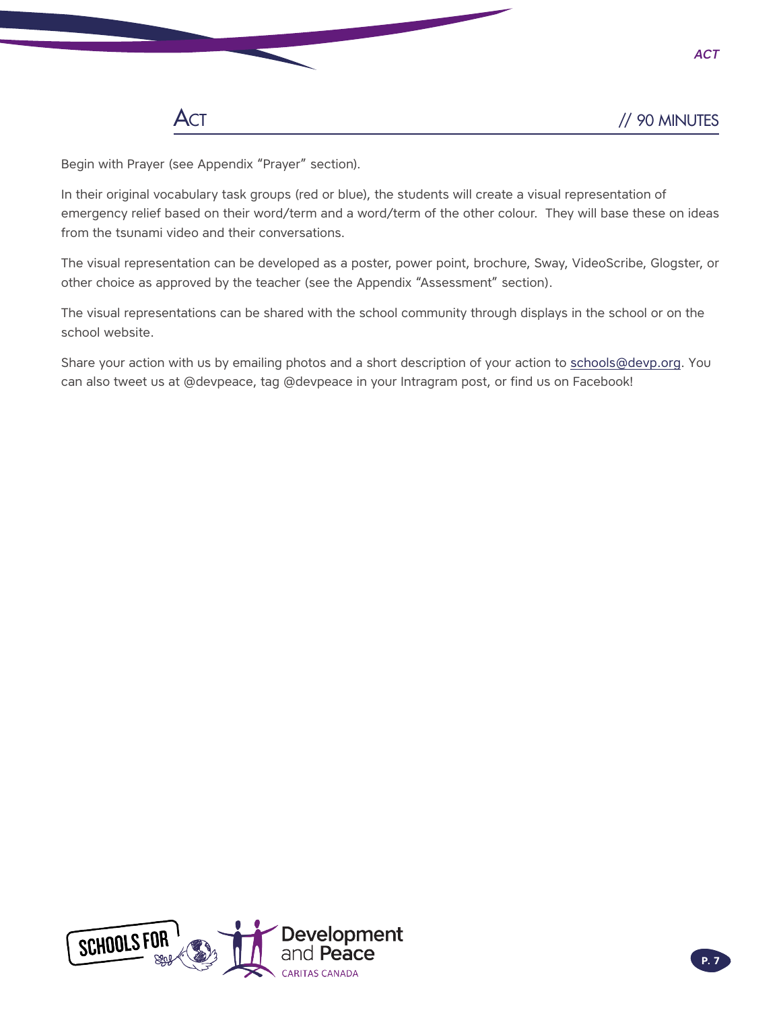*Act*

Begin with Prayer (see Appendix "Prayer" section).

In their original vocabulary task groups (red or blue), the students will create a visual representation of emergency relief based on their word/term and a word/term of the other colour. They will base these on ideas from the tsunami video and their conversations.

The visual representation can be developed as a poster, power point, brochure, Sway, VideoScribe, Glogster, or other choice as approved by the teacher (see the Appendix "Assessment" section).

The visual representations can be shared with the school community through displays in the school or on the school website.

Share your action with us by emailing photos and a short description of your action to [schools@devp.org.](mailto:schools%40devp.org?subject=) You can also tweet us at @devpeace, tag @devpeace in your Intragram post, or find us on Facebook!

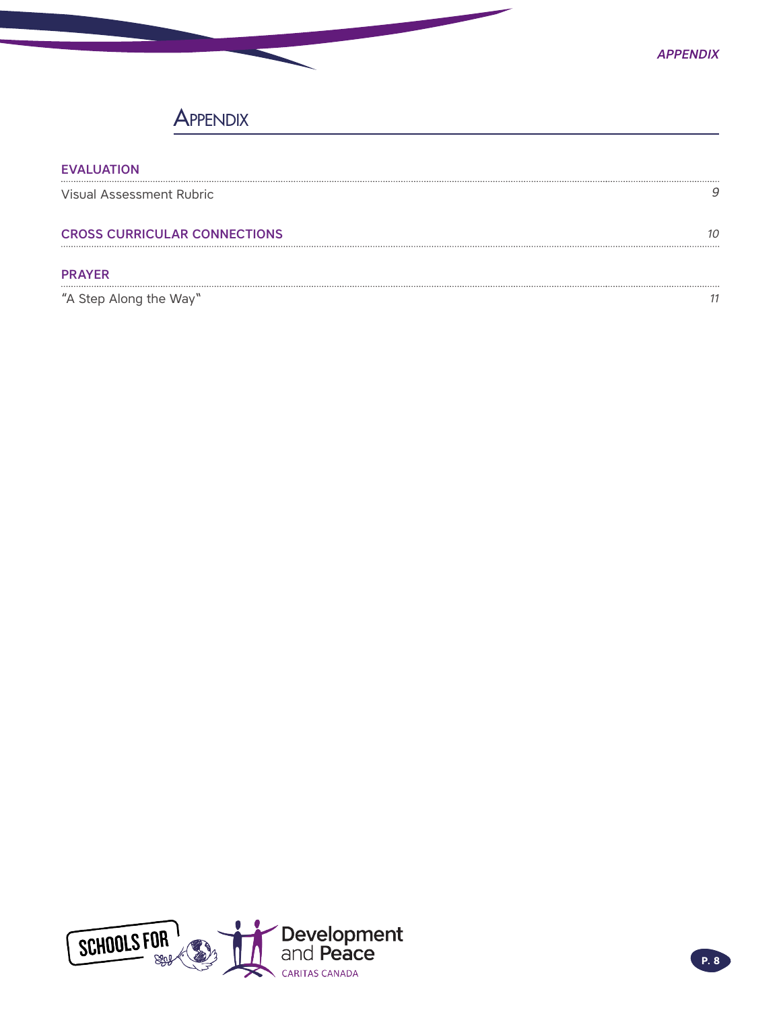## **APPENDIX**

| <b>EVALUATION</b>                   |  |
|-------------------------------------|--|
| Visual Assessment Rubric            |  |
| <b>CROSS CURRICULAR CONNECTIONS</b> |  |
| <b>PRAYER</b>                       |  |
| "A Step Along the Way"              |  |

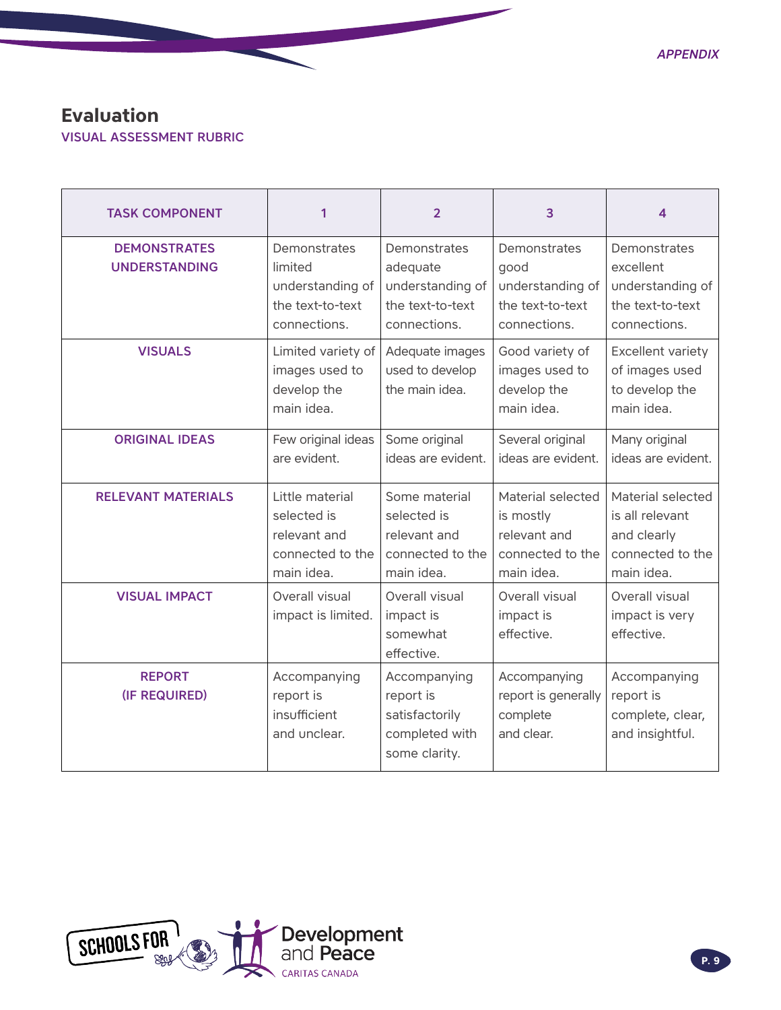### <span id="page-8-0"></span>**Evaluation**

VISUAL ASSESSMENT RUBRIC

| <b>TASK COMPONENT</b>                       | 1                                                                                | $\overline{2}$                                                                   | 3                                                                                | 4                                                                                     |
|---------------------------------------------|----------------------------------------------------------------------------------|----------------------------------------------------------------------------------|----------------------------------------------------------------------------------|---------------------------------------------------------------------------------------|
| <b>DEMONSTRATES</b><br><b>UNDERSTANDING</b> | Demonstrates<br>limited<br>understanding of<br>the text-to-text<br>connections.  | Demonstrates<br>adequate<br>understanding of<br>the text-to-text<br>connections. | Demonstrates<br>good<br>understanding of<br>the text-to-text<br>connections.     | Demonstrates<br>excellent<br>understanding of<br>the text-to-text<br>connections.     |
| <b>VISUALS</b>                              | Limited variety of<br>images used to<br>develop the<br>main idea.                | Adequate images<br>used to develop<br>the main idea.                             | Good variety of<br>images used to<br>develop the<br>main idea.                   | Excellent variety<br>of images used<br>to develop the<br>main idea.                   |
| <b>ORIGINAL IDEAS</b>                       | Few original ideas<br>are evident.                                               | Some original<br>ideas are evident.                                              | Several original<br>ideas are evident.                                           | Many original<br>ideas are evident.                                                   |
| <b>RELEVANT MATERIALS</b>                   | Little material<br>selected is<br>relevant and<br>connected to the<br>main idea. | Some material<br>selected is<br>relevant and<br>connected to the<br>main idea.   | Material selected<br>is mostly<br>relevant and<br>connected to the<br>main idea. | Material selected<br>is all relevant<br>and clearly<br>connected to the<br>main idea. |
| <b>VISUAL IMPACT</b>                        | Overall visual<br>impact is limited.                                             | Overall visual<br>impact is<br>somewhat<br>effective.                            | Overall visual<br>impact is<br>effective.                                        | Overall visual<br>impact is very<br>effective.                                        |
| <b>REPORT</b><br>(IF REQUIRED)              | Accompanying<br>report is<br>insufficient<br>and unclear.                        | Accompanying<br>report is<br>satisfactorily<br>completed with<br>some clarity.   | Accompanying<br>report is generally<br>complete<br>and clear.                    | Accompanying<br>report is<br>complete, clear,<br>and insightful.                      |

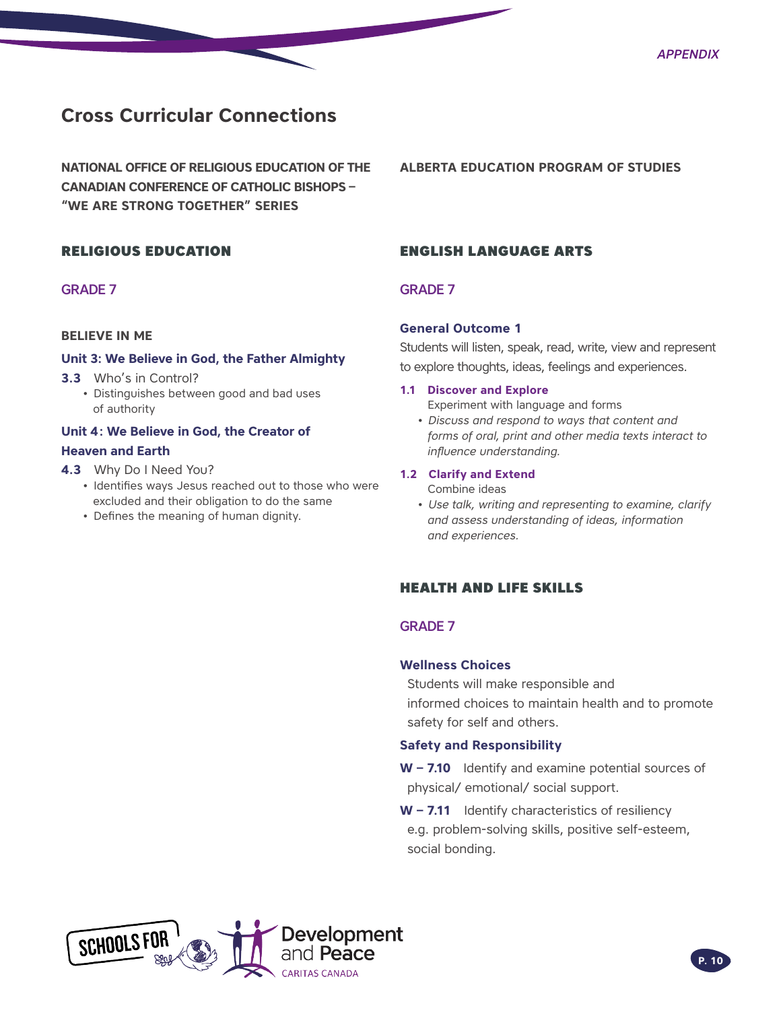### <span id="page-9-0"></span>**Cross Curricular Connections**

**NATIONAL OFFICE OF RELIGIOUS EDUCATION OF THE CANADIAN CONFERENCE OF CATHOLIC BISHOPS – "WE ARE STRONG TOGETHER" SERIES**

### RELIGIOUS EDUCATION

### GRADE 7

### **BELIEVE IN ME**

### **Unit 3: We Believe in God, the Father Almighty**

- **3.3** Who's in Control?
	- Distinguishes between good and bad uses of authority

### **Unit 4: We Believe in God, the Creator of Heaven and Earth**

- **4.3** Why Do I Need You?
	- Identifies ways Jesus reached out to those who were excluded and their obligation to do the same
	- Defines the meaning of human dignity.

### **ALBERTA EDUCATION PROGRAM OF STUDIES**

### ENGLISH LANGUAGE ARTS

### GRADE 7

#### **General Outcome 1**

Students will listen, speak, read, write, view and represent to explore thoughts, ideas, feelings and experiences.

#### **1.1 Discover and Explore**

Experiment with language and forms

*• Discuss and respond to ways that content and forms of oral, print and other media texts interact to influence understanding.*

#### **1.2 Clarify and Extend**

Combine ideas

*• Use talk, writing and representing to examine, clarify and assess understanding of ideas, information and experiences.*

### HEALTH AND LIFE SKILLS

### GRADE 7

### **Wellness Choices**

Students will make responsible and informed choices to maintain health and to promote safety for self and others.

### **Safety and Responsibility**

**W – 7.10** Identify and examine potential sources of physical/ emotional/ social support.

**W – 7.11** Identify characteristics of resiliency e.g. problem-solving skills, positive self-esteem, social bonding.